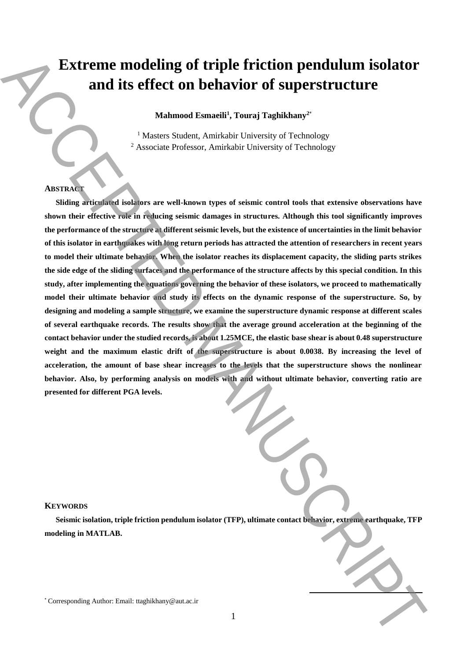# **Extreme modeling of triple friction pendulum isolator and its effect on behavior of superstructure**

**Mahmood Esmaeili<sup>1</sup> , Touraj Taghikhany<sup>2</sup>**\*

<sup>1</sup> Masters Student, Amirkabir University of Technology <sup>2</sup> Associate Professor, Amirkabir University of Technology

# **ABSTRACT**

**Sliding articulated isolators are well-known types of seismic control tools that extensive observations have shown their effective role in reducing seismic damages in structures. Although this tool significantly improves the performance of the structure at different seismic levels, but the existence of uncertainties in the limit behavior of this isolator in earthquakes with long return periods has attracted the attention of researchers in recent years to model their ultimate behavior. When the isolator reaches its displacement capacity, the sliding parts strikes the side edge of the sliding surfaces and the performance of the structure affects by this special condition. In this study, after implementing the equations governing the behavior of these isolators, we proceed to mathematically model their ultimate behavior and study its effects on the dynamic response of the superstructure. So, by designing and modeling a sample structure, we examine the superstructure dynamic response at different scales of several earthquake records. The results show that the average ground acceleration at the beginning of the contact behavior under the studied records, is about 1.25MCE, the elastic base shear is about 0.48 superstructure weight and the maximum elastic drift of the superstructure is about 0.0038. By increasing the level of acceleration, the amount of base shear increases to the levels that the superstructure shows the nonlinear behavior. Also, by performing analysis on models with and without ultimate behavior, converting ratio are presented for different PGA levels. Extreme modeling of triple friction pendulum isolator**<br>
and its effect on behavior of superstructure<br>  $\frac{1}{2}$ <br>  $\frac{1}{2}$ <br>  $\frac{1}{2}$ <br>  $\frac{1}{2}$ <br>  $\frac{1}{2}$ <br>  $\frac{1}{2}$ <br>  $\frac{1}{2}$ <br>  $\frac{1}{2}$ <br>  $\frac{1}{2}$ <br>  $\frac{1}{2}$ <br>  $\frac{1}{2}$ 

### **KEYWORDS**

**Seismic isolation, triple friction pendulum isolator (TFP), ultimate contact behavior, extreme earthquake, TFP modeling in MATLAB.**

**.**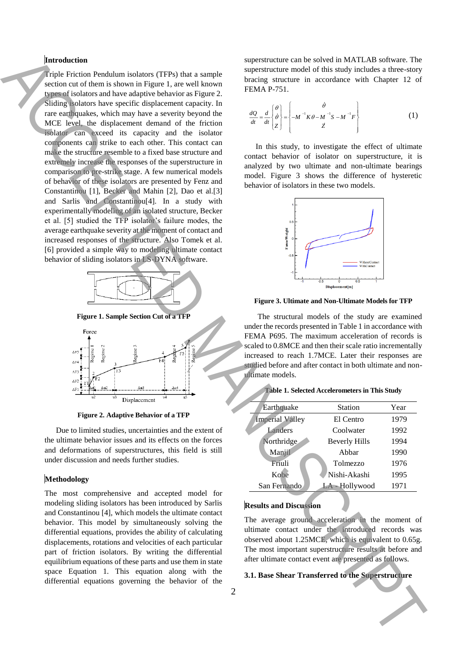## **Introduction**

Triple Friction Pendulum isolators (TFPs) that a sample section cut of them is shown in Figure 1, are well known types of isolators and have adaptive behavior as Figure 2. Sliding isolators have specific displacement capacity. In rare earthquakes, which may have a severity beyond the MCE level, the displacement demand of the friction isolator can exceed its capacity and the isolator components can strike to each other. This contact can make the structure resemble to a fixed base structure and extremely increase the responses of the superstructure in comparison to pre-strike stage. A few numerical models of behavior of these isolators are presented by Fenz and Constantinou [1], Becker and Mahin [2], Dao et al.[3] and Sarlis and Constantinou[4]. In a study with experimentally modeling of an isolated structure, Becker et al. [5] studied the TFP isolator's failure modes, the average earthquake severity at the moment of contact and increased responses of the structure. Also Tomek et al. [6] provided a simple way to modeling ultimate contact behavior of sliding isolators in LS-DYNA software. **3.1.** Basebook in the specific and the specific and the Super Shear ACCEPTED ACCEPTED ACCEPTED ACCEPTED ACCEPTED ACCEPTED ACCEPTED ACCEPTED ACCEPTED ACCEPTED ACCEPTED ACCEPTED ACCEPTED ACCEPTED ACCEPTED ACCEPTED ACCEPTED



**Figure 1. Sample Section Cut of a TFP**



**Figure 2. Adaptive Behavior of a TFP**

Due to limited studies, uncertainties and the extent of the ultimate behavior issues and its effects on the forces and deformations of superstructures, this field is still under discussion and needs further studies.

### **Methodology**

The most comprehensive and accepted model for modeling sliding isolators has been introduced by Sarlis and Constantinou [4], which models the ultimate contact behavior. This model by simultaneously solving the differential equations, provides the ability of calculating displacements, rotations and velocities of each particular part of friction isolators. By writing the differential equilibrium equations of these parts and use them in state space Equation 1. This equation along with the differential equations governing the behavior of the

superstructure can be solved in MATLAB software. The superstructure model of this study includes a three-story bracing structure in accordance with Chapter 12 of FEMA P-751.

$$
\frac{dQ}{dt} = \frac{d}{dt} \begin{bmatrix} \theta \\ \dot{\theta} \\ Z \end{bmatrix} = \begin{Bmatrix} \dot{\theta} \\ -M^{-1}K\theta - M^{-1}S - M^{-1}F \\ \dot{Z} \end{Bmatrix}
$$
(1)

In this study, to investigate the effect of ultimate contact behavior of isolator on superstructure, it is analyzed by two ultimate and non-ultimate bearings model. Figure 3 shows the difference of hysteretic behavior of isolators in these two models.



**Figure 3. Ultimate and Non-Ultimate Models for TFP**

The structural models of the study are examined under the records presented in Table 1 in accordance with FEMA P695. The maximum acceleration of records is scaled to 0.8MCE and then their scale ratio incrementally increased to reach 1.7MCE. Later their responses are studied before and after contact in both ultimate and nonultimate models.

|  |  |  |  | Table 1. Selected Accelerometers in This Study |  |  |  |
|--|--|--|--|------------------------------------------------|--|--|--|
|--|--|--|--|------------------------------------------------|--|--|--|

| Earthquake             | <b>Station</b>       | Year |  |
|------------------------|----------------------|------|--|
| <b>Imperial Valley</b> | El Centro            | 1979 |  |
| Landers                | Coolwater            | 1992 |  |
| Northridge             | <b>Beverly Hills</b> | 1994 |  |
| Manjil                 | Abbar                | 1990 |  |
| Friuli                 | Tolmezzo             | 1976 |  |
| Kobe                   | Nishi-Akashi         | 1995 |  |
| San Fernando           | LA - Hollywood       | 1971 |  |

# **Results and Discussion**

The average ground acceleration in the moment of ultimate contact under the introduced records was observed about 1.25MCE, which is equivalent to 0.65g. The most important superstructure results at before and after ultimate contact event are presented as follows.